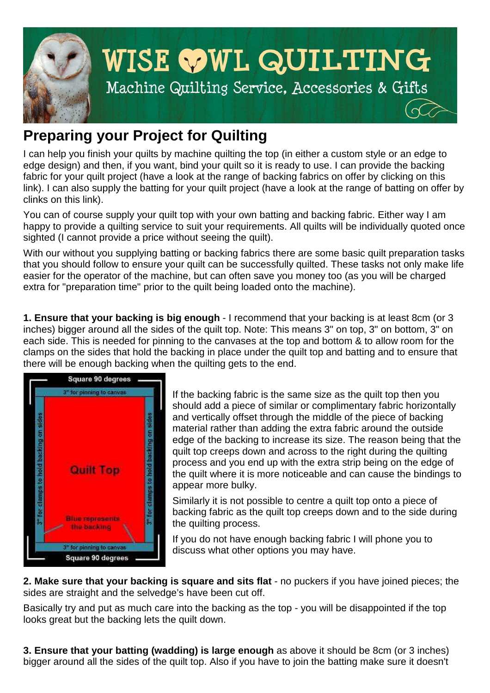

## **Preparing your Project for Quilting**

I can help you finish your quilts by machine quilting the top (in either a custom style or an edge to edge design) and then, if you want, bind your quilt so it is ready to use. I can provide the backing fabric for your quilt project (have a look at the range of backing fabrics on offer by clicking on this link). I can also supply the batting for your quilt project (have a look at the range of batting on offer by clinks on this link).

You can of course supply your quilt top with your own batting and backing fabric. Either way I am happy to provide a quilting service to suit your requirements. All quilts will be individually quoted once sighted (I cannot provide a price without seeing the quilt).

With our without you supplying batting or backing fabrics there are some basic quilt preparation tasks that you should follow to ensure your quilt can be successfully quilted. These tasks not only make life easier for the operator of the machine, but can often save you money too (as you will be charged extra for "preparation time" prior to the quilt being loaded onto the machine).

**1. Ensure that your backing is big enough** - I recommend that your backing is at least 8cm (or 3 inches) bigger around all the sides of the quilt top. Note: This means 3" on top, 3" on bottom, 3" on each side. This is needed for pinning to the canvases at the top and bottom & to allow room for the clamps on the sides that hold the backing in place under the quilt top and batting and to ensure that there will be enough backing when the quilting gets to the end.



If the backing fabric is the same size as the quilt top then you should add a piece of similar or complimentary fabric horizontally and vertically offset through the middle of the piece of backing material rather than adding the extra fabric around the outside edge of the backing to increase its size. The reason being that the quilt top creeps down and across to the right during the quilting process and you end up with the extra strip being on the edge of the quilt where it is more noticeable and can cause the bindings to appear more bulky.

Similarly it is not possible to centre a quilt top onto a piece of backing fabric as the quilt top creeps down and to the side during the quilting process.

If you do not have enough backing fabric I will phone you to discuss what other options you may have.

**2. Make sure that your backing is square and sits flat** - no puckers if you have joined pieces; the sides are straight and the selvedge's have been cut off.

Basically try and put as much care into the backing as the top - you will be disappointed if the top looks great but the backing lets the quilt down.

**3. Ensure that your batting (wadding) is large enough** as above it should be 8cm (or 3 inches) bigger around all the sides of the quilt top. Also if you have to join the batting make sure it doesn't